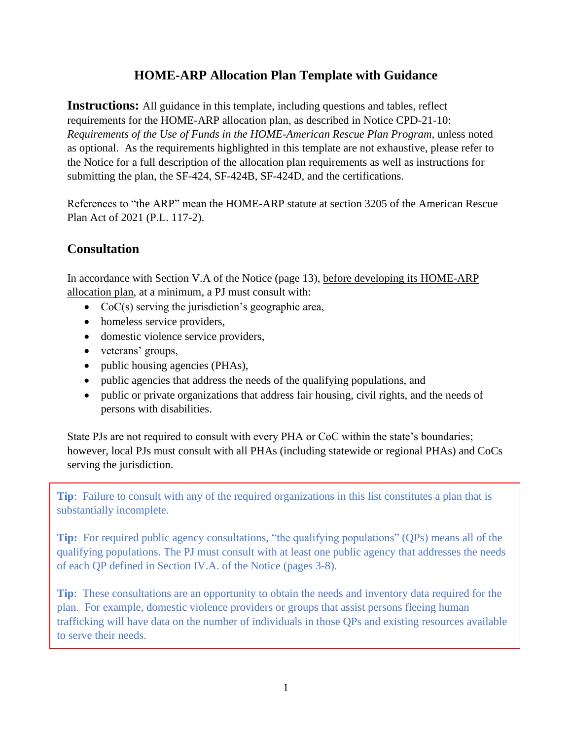# **HOME-ARP Allocation Plan Template with Guidance**

**Instructions:** All guidance in this template, including questions and tables, reflect requirements for the HOME-ARP allocation plan, as described in Notice CPD-21-10: *Requirements of the Use of Funds in the HOME-American Rescue Plan Program*, unless noted as optional. As the requirements highlighted in this template are not exhaustive, please refer to the Notice for a full description of the allocation plan requirements as well as instructions for submitting the plan, the SF-424, SF-424B, SF-424D, and the certifications.

References to "the ARP" mean the HOME-ARP statute at section 3205 of the American Rescue Plan Act of 2021 (P.L. 117-2).

# **Consultation**

In accordance with Section V.A of the Notice (page 13), before developing its HOME-ARP allocation plan, at a minimum, a PJ must consult with:

- CoC(s) serving the jurisdiction's geographic area,
- homeless service providers,
- domestic violence service providers,
- veterans' groups,
- public housing agencies (PHAs),
- public agencies that address the needs of the qualifying populations, and
- public or private organizations that address fair housing, civil rights, and the needs of persons with disabilities.

State PJs are not required to consult with every PHA or CoC within the state's boundaries; however, local PJs must consult with all PHAs (including statewide or regional PHAs) and CoCs serving the jurisdiction.

**Tip**: Failure to consult with any of the required organizations in this list constitutes a plan that is substantially incomplete.

**Tip:** For required public agency consultations, "the qualifying populations" (QPs) means all of the qualifying populations. The PJ must consult with at least one public agency that addresses the needs of each QP defined in Section IV.A. of the Notice (pages 3-8).

**Tip**: These consultations are an opportunity to obtain the needs and inventory data required for the plan. For example, domestic violence providers or groups that assist persons fleeing human trafficking will have data on the number of individuals in those QPs and existing resources available to serve their needs.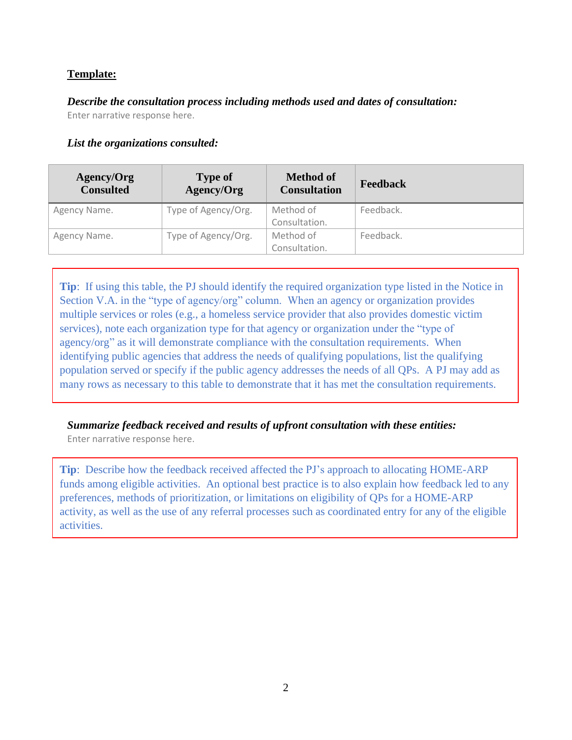*Describe the consultation process including methods used and dates of consultation:* Enter narrative response here.

### *List the organizations consulted:*

| Agency/Org<br><b>Consulted</b> | <b>Type of</b><br>Agency/Org | <b>Method of</b><br><b>Consultation</b> | <b>Feedback</b> |
|--------------------------------|------------------------------|-----------------------------------------|-----------------|
| Agency Name.                   | Type of Agency/Org.          | Method of                               | Feedback.       |
|                                |                              | Consultation.                           |                 |
| Agency Name.                   | Type of Agency/Org.          | Method of                               | Feedback.       |
|                                |                              | Consultation.                           |                 |

**Tip**: If using this table, the PJ should identify the required organization type listed in the Notice in Section V.A. in the "type of agency/org" column. When an agency or organization provides multiple services or roles (e.g., a homeless service provider that also provides domestic victim services), note each organization type for that agency or organization under the "type of agency/org" as it will demonstrate compliance with the consultation requirements. When identifying public agencies that address the needs of qualifying populations, list the qualifying population served or specify if the public agency addresses the needs of all QPs. A PJ may add as many rows as necessary to this table to demonstrate that it has met the consultation requirements.

## *Summarize feedback received and results of upfront consultation with these entities:*

Enter narrative response here.

**Tip**: Describe how the feedback received affected the PJ's approach to allocating HOME-ARP funds among eligible activities. An optional best practice is to also explain how feedback led to any preferences, methods of prioritization, or limitations on eligibility of QPs for a HOME-ARP activity, as well as the use of any referral processes such as coordinated entry for any of the eligible activities.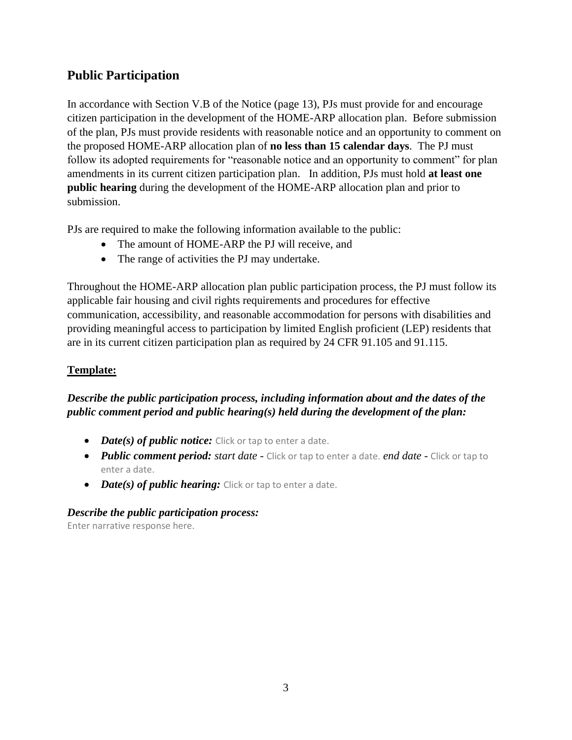# **Public Participation**

In accordance with Section V.B of the Notice (page 13), PJs must provide for and encourage citizen participation in the development of the HOME-ARP allocation plan. Before submission of the plan, PJs must provide residents with reasonable notice and an opportunity to comment on the proposed HOME-ARP allocation plan of **no less than 15 calendar days**. The PJ must follow its adopted requirements for "reasonable notice and an opportunity to comment" for plan amendments in its current citizen participation plan. In addition, PJs must hold **at least one public hearing** during the development of the HOME-ARP allocation plan and prior to submission.

PJs are required to make the following information available to the public:

- The amount of HOME-ARP the PJ will receive, and
- The range of activities the PJ may undertake.

Throughout the HOME-ARP allocation plan public participation process, the PJ must follow its applicable fair housing and civil rights requirements and procedures for effective communication, accessibility, and reasonable accommodation for persons with disabilities and providing meaningful access to participation by limited English proficient (LEP) residents that are in its current citizen participation plan as required by 24 CFR 91.105 and 91.115.

## **Template:**

## *Describe the public participation process, including information about and the dates of the public comment period and public hearing(s) held during the development of the plan:*

- **•** *Date(s) of public notice:* Click or tap to enter a date.
- *Public comment period: start date -* Click or tap to enter a date. *end date -* Click or tap to enter a date.
- *Date(s) of public hearing:* Click or tap to enter a date.

### *Describe the public participation process:*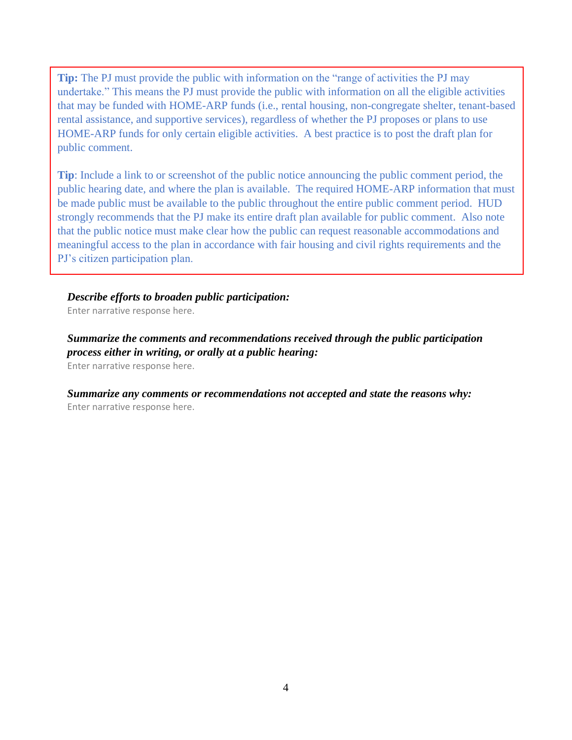**Tip:** The PJ must provide the public with information on the "range of activities the PJ may undertake." This means the PJ must provide the public with information on all the eligible activities that may be funded with HOME-ARP funds (i.e., rental housing, non-congregate shelter, tenant-based rental assistance, and supportive services), regardless of whether the PJ proposes or plans to use HOME-ARP funds for only certain eligible activities. A best practice is to post the draft plan for public comment.

**Tip**: Include a link to or screenshot of the public notice announcing the public comment period, the public hearing date, and where the plan is available. The required HOME-ARP information that must be made public must be available to the public throughout the entire public comment period. HUD strongly recommends that the PJ make its entire draft plan available for public comment. Also note that the public notice must make clear how the public can request reasonable accommodations and meaningful access to the plan in accordance with fair housing and civil rights requirements and the PJ's citizen participation plan.

#### *Describe efforts to broaden public participation:*

Enter narrative response here.

*Summarize the comments and recommendations received through the public participation process either in writing, or orally at a public hearing:* Enter narrative response here.

*Summarize any comments or recommendations not accepted and state the reasons why:* Enter narrative response here.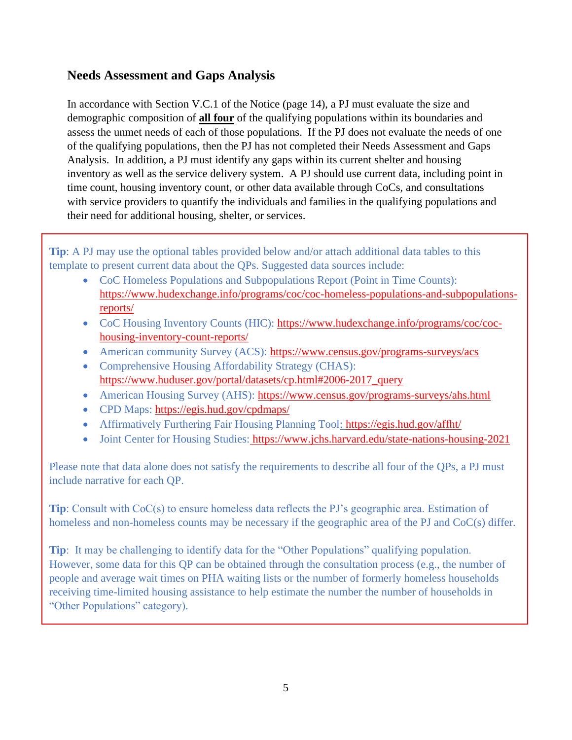## **Needs Assessment and Gaps Analysis**

In accordance with Section V.C.1 of the Notice (page 14), a PJ must evaluate the size and demographic composition of **all four** of the qualifying populations within its boundaries and assess the unmet needs of each of those populations. If the PJ does not evaluate the needs of one of the qualifying populations, then the PJ has not completed their Needs Assessment and Gaps Analysis. In addition, a PJ must identify any gaps within its current shelter and housing inventory as well as the service delivery system. A PJ should use current data, including point in time count, housing inventory count, or other data available through CoCs, and consultations with service providers to quantify the individuals and families in the qualifying populations and their need for additional housing, shelter, or services.

**Tip**: A PJ may use the optional tables provided below and/or attach additional data tables to this template to present current data about the QPs. Suggested data sources include:

- CoC Homeless Populations and Subpopulations Report (Point in Time Counts): [https://www.hudexchange.info/programs/coc/coc-homeless-populations-and-subpopulations](https://www.hudexchange.info/programs/coc/coc-homeless-populations-and-subpopulations-reports/)[reports/](https://www.hudexchange.info/programs/coc/coc-homeless-populations-and-subpopulations-reports/)
- CoC Housing Inventory Counts (HIC): [https://www.hudexchange.info/programs/coc/coc](https://www.hudexchange.info/programs/coc/coc-housing-inventory-count-reports/)[housing-inventory-count-reports/](https://www.hudexchange.info/programs/coc/coc-housing-inventory-count-reports/)
- American community Survey (ACS):<https://www.census.gov/programs-surveys/acs>
- Comprehensive Housing Affordability Strategy (CHAS): [https://www.huduser.gov/portal/datasets/cp.html#2006-2017\\_query](https://www.huduser.gov/portal/datasets/cp.html#2006-2017_query)
- American Housing Survey (AHS):<https://www.census.gov/programs-surveys/ahs.html>
- CPD Maps:<https://egis.hud.gov/cpdmaps/>
- Affirmatively Furthering Fair Housing Planning Tool:<https://egis.hud.gov/affht/>
- Joint Center for Housing Studies: <https://www.jchs.harvard.edu/state-nations-housing-2021>

Please note that data alone does not satisfy the requirements to describe all four of the QPs, a PJ must include narrative for each QP.

**Tip**: Consult with CoC(s) to ensure homeless data reflects the PJ's geographic area. Estimation of homeless and non-homeless counts may be necessary if the geographic area of the PJ and CoC(s) differ.

**Tip**: It may be challenging to identify data for the "Other Populations" qualifying population. However, some data for this QP can be obtained through the consultation process (e.g., the number of people and average wait times on PHA waiting lists or the number of formerly homeless households receiving time-limited housing assistance to help estimate the number the number of households in "Other Populations" category).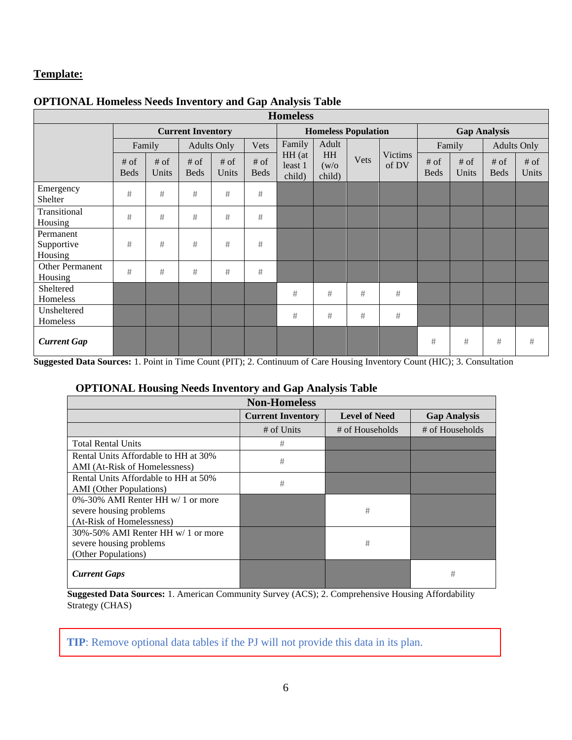| <b>Homeless</b>                    |                          |                                                         |                       |               |                            |                             |                              |                     |                  |                        |                 |                       |               |
|------------------------------------|--------------------------|---------------------------------------------------------|-----------------------|---------------|----------------------------|-----------------------------|------------------------------|---------------------|------------------|------------------------|-----------------|-----------------------|---------------|
|                                    | <b>Current Inventory</b> |                                                         |                       |               | <b>Homeless Population</b> |                             |                              | <b>Gap Analysis</b> |                  |                        |                 |                       |               |
|                                    |                          | Adult<br>Family<br><b>Adults Only</b><br>Vets<br>Family |                       |               | Family                     |                             | <b>Adults Only</b>           |                     |                  |                        |                 |                       |               |
|                                    | $#$ of<br><b>Beds</b>    | $#$ of<br>Units                                         | $#$ of<br><b>Beds</b> | # of<br>Units | $\#$ of<br><b>Beds</b>     | HH (at<br>least 1<br>child) | <b>HH</b><br>(w/o)<br>child) | Vets                | Victims<br>of DV | $\#$ of<br><b>Beds</b> | $#$ of<br>Units | $#$ of<br><b>Beds</b> | # of<br>Units |
| Emergency<br>Shelter               | $\#$                     | #                                                       | #                     | $\#$          | $\#$                       |                             |                              |                     |                  |                        |                 |                       |               |
| Transitional<br>Housing            | #                        | #                                                       | #                     | #             | #                          |                             |                              |                     |                  |                        |                 |                       |               |
| Permanent<br>Supportive<br>Housing | $\#$                     | #                                                       | $\#$                  | $\#$          | #                          |                             |                              |                     |                  |                        |                 |                       |               |
| Other Permanent<br>Housing         | $\#$                     | #                                                       | $\#$                  | $\#$          | $\#$                       |                             |                              |                     |                  |                        |                 |                       |               |
| Sheltered<br>Homeless              |                          |                                                         |                       |               |                            | #                           | #                            | #                   | #                |                        |                 |                       |               |
| Unsheltered<br>Homeless            |                          |                                                         |                       |               |                            | #                           | #                            | #                   | $\#$             |                        |                 |                       |               |
| <b>Current Gap</b>                 |                          |                                                         |                       |               |                            |                             |                              |                     |                  | #                      | #               | #                     | #             |

### **OPTIONAL Homeless Needs Inventory and Gap Analysis Table**

**Suggested Data Sources:** 1. Point in Time Count (PIT); 2. Continuum of Care Housing Inventory Count (HIC); 3. Consultation

### **OPTIONAL Housing Needs Inventory and Gap Analysis Table**

| o                                                                                               |                          | ັ                    |                     |
|-------------------------------------------------------------------------------------------------|--------------------------|----------------------|---------------------|
|                                                                                                 | <b>Non-Homeless</b>      |                      |                     |
|                                                                                                 | <b>Current Inventory</b> | <b>Level of Need</b> | <b>Gap Analysis</b> |
|                                                                                                 | # of Units               | # of Households      | # of Households     |
| <b>Total Rental Units</b>                                                                       | #                        |                      |                     |
| Rental Units Affordable to HH at 30%<br>AMI (At-Risk of Homelessness)                           | #                        |                      |                     |
| Rental Units Affordable to HH at 50%<br><b>AMI</b> (Other Populations)                          | #                        |                      |                     |
| $0\% - 30\%$ AMI Renter HH w/ 1 or more<br>severe housing problems<br>(At-Risk of Homelessness) |                          | #                    |                     |
| 30%-50% AMI Renter HH w/ 1 or more<br>severe housing problems<br>(Other Populations)            |                          | #                    |                     |
| <b>Current Gaps</b>                                                                             |                          |                      | #                   |

**Suggested Data Sources:** 1. American Community Survey (ACS); 2. Comprehensive Housing Affordability Strategy (CHAS)

**TIP**: Remove optional data tables if the PJ will not provide this data in its plan.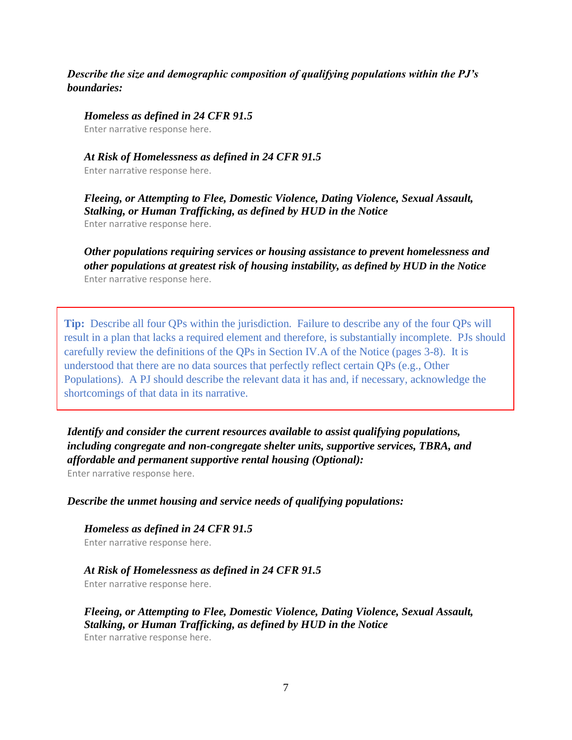### *Describe the size and demographic composition of qualifying populations within the PJ's boundaries:*

*Homeless as defined in 24 CFR 91.5*

Enter narrative response here.

#### *At Risk of Homelessness as defined in 24 CFR 91.5*

Enter narrative response here.

*Fleeing, or Attempting to Flee, Domestic Violence, Dating Violence, Sexual Assault, Stalking, or Human Trafficking, as defined by HUD in the Notice* Enter narrative response here.

*Other populations requiring services or housing assistance to prevent homelessness and other populations at greatest risk of housing instability, as defined by HUD in the Notice* Enter narrative response here.

**Tip:** Describe all four QPs within the jurisdiction. Failure to describe any of the four QPs will result in a plan that lacks a required element and therefore, is substantially incomplete. PJs should carefully review the definitions of the QPs in Section IV.A of the Notice (pages 3-8). It is understood that there are no data sources that perfectly reflect certain QPs (e.g., Other Populations). A PJ should describe the relevant data it has and, if necessary, acknowledge the shortcomings of that data in its narrative.

*Identify and consider the current resources available to assist qualifying populations, including congregate and non-congregate shelter units, supportive services, TBRA, and affordable and permanent supportive rental housing (Optional):*

Enter narrative response here.

*Describe the unmet housing and service needs of qualifying populations:*

*Homeless as defined in 24 CFR 91.5* Enter narrative response here.

### *At Risk of Homelessness as defined in 24 CFR 91.5*

Enter narrative response here.

*Fleeing, or Attempting to Flee, Domestic Violence, Dating Violence, Sexual Assault, Stalking, or Human Trafficking, as defined by HUD in the Notice*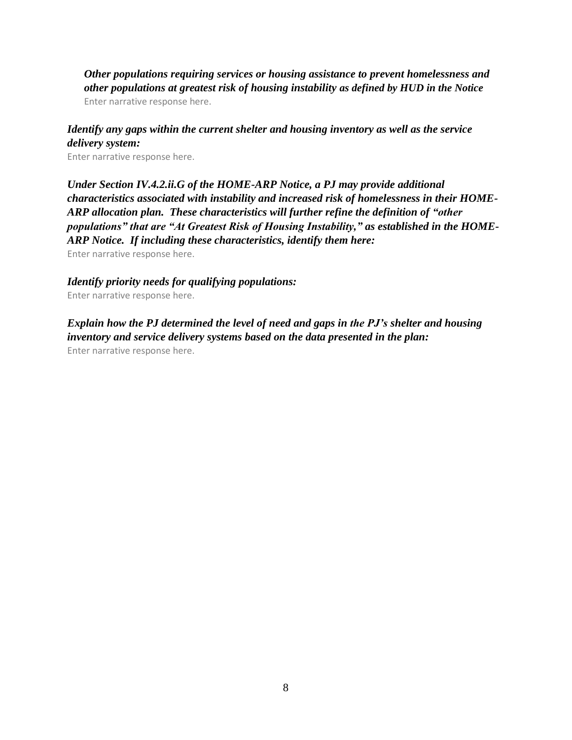*Other populations requiring services or housing assistance to prevent homelessness and other populations at greatest risk of housing instability as defined by HUD in the Notice* Enter narrative response here.

### *Identify any gaps within the current shelter and housing inventory as well as the service delivery system:*

Enter narrative response here.

*Under Section IV.4.2.ii.G of the HOME-ARP Notice, a PJ may provide additional characteristics associated with instability and increased risk of homelessness in their HOME-ARP allocation plan. These characteristics will further refine the definition of "other populations" that are "At Greatest Risk of Housing Instability," as established in the HOME-ARP Notice. If including these characteristics, identify them here:*

Enter narrative response here.

#### *Identify priority needs for qualifying populations:*

Enter narrative response here.

*Explain how the PJ determined the level of need and gaps in the PJ's shelter and housing inventory and service delivery systems based on the data presented in the plan:* Enter narrative response here.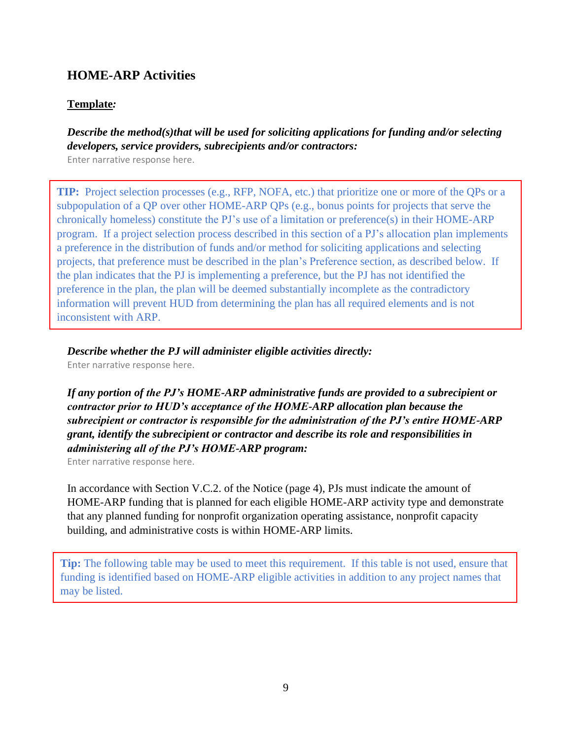## **HOME-ARP Activities**

#### **Template***:*

### *Describe the method(s)that will be used for soliciting applications for funding and/or selecting developers, service providers, subrecipients and/or contractors:*

Enter narrative response here.

**TIP:** Project selection processes (e.g., RFP, NOFA, etc.) that prioritize one or more of the QPs or a subpopulation of a QP over other HOME-ARP QPs (e.g., bonus points for projects that serve the chronically homeless) constitute the PJ's use of a limitation or preference(s) in their HOME-ARP program. If a project selection process described in this section of a PJ's allocation plan implements a preference in the distribution of funds and/or method for soliciting applications and selecting projects, that preference must be described in the plan's Preference section, as described below. If the plan indicates that the PJ is implementing a preference, but the PJ has not identified the preference in the plan, the plan will be deemed substantially incomplete as the contradictory information will prevent HUD from determining the plan has all required elements and is not inconsistent with ARP.

*Describe whether the PJ will administer eligible activities directly:*

Enter narrative response here.

*If any portion of the PJ's HOME-ARP administrative funds are provided to a subrecipient or contractor prior to HUD's acceptance of the HOME-ARP allocation plan because the subrecipient or contractor is responsible for the administration of the PJ's entire HOME-ARP grant, identify the subrecipient or contractor and describe its role and responsibilities in administering all of the PJ's HOME-ARP program:*

Enter narrative response here.

In accordance with Section V.C.2. of the Notice (page 4), PJs must indicate the amount of HOME-ARP funding that is planned for each eligible HOME-ARP activity type and demonstrate that any planned funding for nonprofit organization operating assistance, nonprofit capacity building, and administrative costs is within HOME-ARP limits.

**Tip:** The following table may be used to meet this requirement. If this table is not used, ensure that funding is identified based on HOME-ARP eligible activities in addition to any project names that may be listed.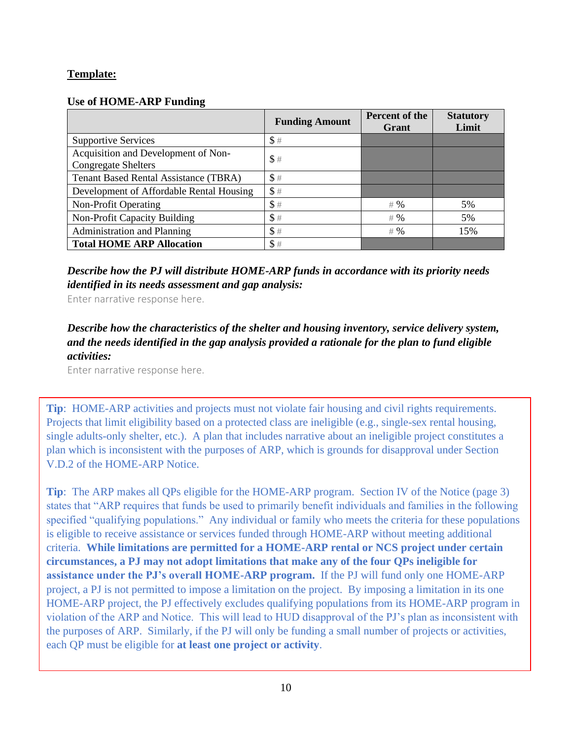### **Use of HOME-ARP Funding**

|                                                                   | <b>Funding Amount</b> | <b>Percent of the</b><br>Grant | <b>Statutory</b><br>Limit |
|-------------------------------------------------------------------|-----------------------|--------------------------------|---------------------------|
| <b>Supportive Services</b>                                        | \$#                   |                                |                           |
| Acquisition and Development of Non-<br><b>Congregate Shelters</b> | \$#                   |                                |                           |
| <b>Tenant Based Rental Assistance (TBRA)</b>                      | \$#                   |                                |                           |
| Development of Affordable Rental Housing                          | \$#                   |                                |                           |
| Non-Profit Operating                                              | \$#                   | # 96                           | 5%                        |
| Non-Profit Capacity Building                                      | \$#                   | # 96                           | 5%                        |
| Administration and Planning                                       | \$#                   | # 96                           | 15%                       |
| <b>Total HOME ARP Allocation</b>                                  | \$#                   |                                |                           |

*Describe how the PJ will distribute HOME-ARP funds in accordance with its priority needs identified in its needs assessment and gap analysis:* 

Enter narrative response here.

*Describe how the characteristics of the shelter and housing inventory, service delivery system, and the needs identified in the gap analysis provided a rationale for the plan to fund eligible activities:*

Enter narrative response here.

**Tip**: HOME-ARP activities and projects must not violate fair housing and civil rights requirements. Projects that limit eligibility based on a protected class are ineligible (e.g., single-sex rental housing, single adults-only shelter, etc.). A plan that includes narrative about an ineligible project constitutes a plan which is inconsistent with the purposes of ARP, which is grounds for disapproval under Section V.D.2 of the HOME-ARP Notice.

**Tip**: The ARP makes all QPs eligible for the HOME-ARP program. Section IV of the Notice (page 3) states that "ARP requires that funds be used to primarily benefit individuals and families in the following specified "qualifying populations." Any individual or family who meets the criteria for these populations is eligible to receive assistance or services funded through HOME-ARP without meeting additional criteria. **While limitations are permitted for a HOME-ARP rental or NCS project under certain circumstances, a PJ may not adopt limitations that make any of the four QPs ineligible for assistance under the PJ's overall HOME-ARP program.** If the PJ will fund only one HOME-ARP project, a PJ is not permitted to impose a limitation on the project. By imposing a limitation in its one HOME-ARP project, the PJ effectively excludes qualifying populations from its HOME-ARP program in violation of the ARP and Notice. This will lead to HUD disapproval of the PJ's plan as inconsistent with the purposes of ARP. Similarly, if the PJ will only be funding a small number of projects or activities, each QP must be eligible for **at least one project or activity**.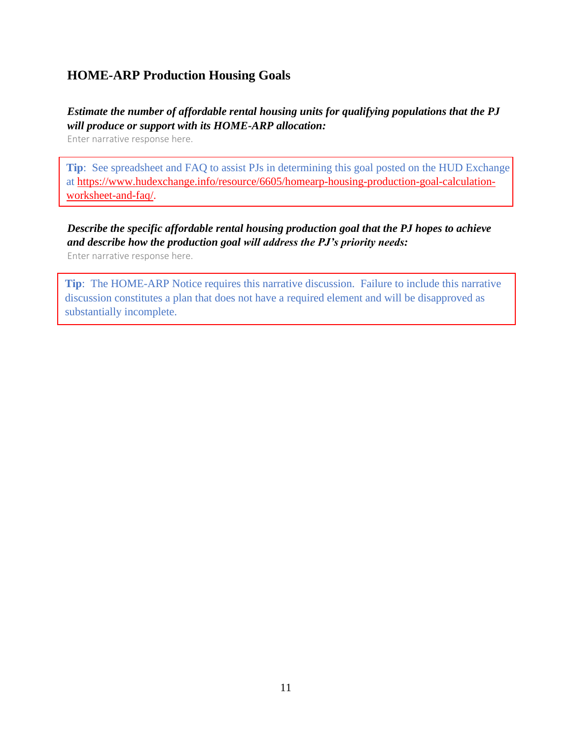# **HOME-ARP Production Housing Goals**

## *Estimate the number of affordable rental housing units for qualifying populations that the PJ will produce or support with its HOME-ARP allocation:*

Enter narrative response here.

**Tip**: See spreadsheet and FAQ to assist PJs in determining this goal posted on the HUD Exchange at [https://www.hudexchange.info/resource/6605/homearp-housing-production-goal-calculation](https://www.hudexchange.info/resource/6605/homearp-housing-production-goal-calculation-worksheet-and-faq/)[worksheet-and-faq/.](https://www.hudexchange.info/resource/6605/homearp-housing-production-goal-calculation-worksheet-and-faq/)

# *Describe the specific affordable rental housing production goal that the PJ hopes to achieve and describe how the production goal will address the PJ's priority needs:*

Enter narrative response here.

**Tip**: The HOME-ARP Notice requires this narrative discussion. Failure to include this narrative discussion constitutes a plan that does not have a required element and will be disapproved as substantially incomplete.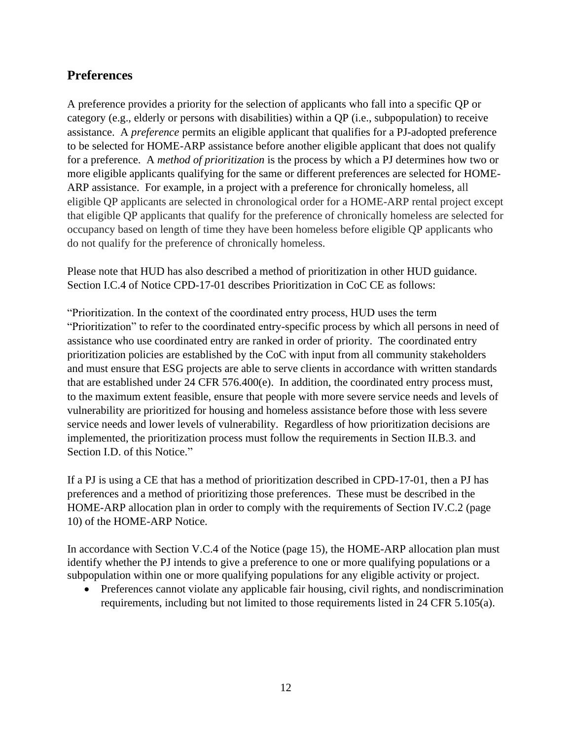## **Preferences**

A preference provides a priority for the selection of applicants who fall into a specific QP or category (e.g., elderly or persons with disabilities) within a QP (i.e., subpopulation) to receive assistance. A *preference* permits an eligible applicant that qualifies for a PJ-adopted preference to be selected for HOME-ARP assistance before another eligible applicant that does not qualify for a preference. A *method of prioritization* is the process by which a PJ determines how two or more eligible applicants qualifying for the same or different preferences are selected for HOME-ARP assistance. For example, in a project with a preference for chronically homeless, all eligible QP applicants are selected in chronological order for a HOME-ARP rental project except that eligible QP applicants that qualify for the preference of chronically homeless are selected for occupancy based on length of time they have been homeless before eligible QP applicants who do not qualify for the preference of chronically homeless.

Please note that HUD has also described a method of prioritization in other HUD guidance. Section I.C.4 of Notice CPD-17-01 describes Prioritization in CoC CE as follows:

"Prioritization. In the context of the coordinated entry process, HUD uses the term "Prioritization" to refer to the coordinated entry-specific process by which all persons in need of assistance who use coordinated entry are ranked in order of priority. The coordinated entry prioritization policies are established by the CoC with input from all community stakeholders and must ensure that ESG projects are able to serve clients in accordance with written standards that are established under 24 CFR 576.400(e). In addition, the coordinated entry process must, to the maximum extent feasible, ensure that people with more severe service needs and levels of vulnerability are prioritized for housing and homeless assistance before those with less severe service needs and lower levels of vulnerability. Regardless of how prioritization decisions are implemented, the prioritization process must follow the requirements in Section II.B.3. and Section I.D. of this Notice."

If a PJ is using a CE that has a method of prioritization described in CPD-17-01, then a PJ has preferences and a method of prioritizing those preferences. These must be described in the HOME-ARP allocation plan in order to comply with the requirements of Section IV.C.2 (page 10) of the HOME-ARP Notice.

In accordance with Section V.C.4 of the Notice (page 15), the HOME-ARP allocation plan must identify whether the PJ intends to give a preference to one or more qualifying populations or a subpopulation within one or more qualifying populations for any eligible activity or project.

• Preferences cannot violate any applicable fair housing, civil rights, and nondiscrimination requirements, including but not limited to those requirements listed in 24 CFR 5.105(a).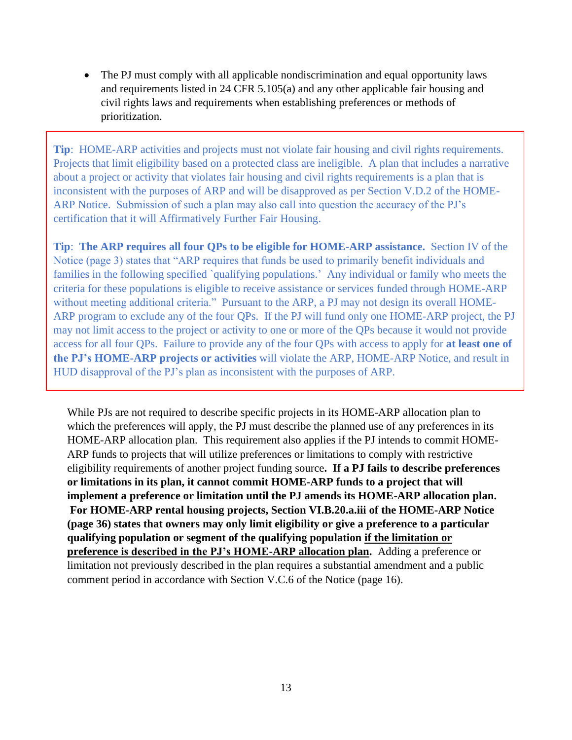The PJ must comply with all applicable nondiscrimination and equal opportunity laws and requirements listed in 24 CFR 5.105(a) and any other applicable fair housing and civil rights laws and requirements when establishing preferences or methods of prioritization.

**Tip**: HOME-ARP activities and projects must not violate fair housing and civil rights requirements. Projects that limit eligibility based on a protected class are ineligible. A plan that includes a narrative about a project or activity that violates fair housing and civil rights requirements is a plan that is inconsistent with the purposes of ARP and will be disapproved as per Section V.D.2 of the HOME-ARP Notice. Submission of such a plan may also call into question the accuracy of the PJ's certification that it will Affirmatively Further Fair Housing.

**Tip**: **The ARP requires all four QPs to be eligible for HOME-ARP assistance.** Section IV of the Notice (page 3) states that "ARP requires that funds be used to primarily benefit individuals and families in the following specified `qualifying populations.' Any individual or family who meets the criteria for these populations is eligible to receive assistance or services funded through HOME-ARP without meeting additional criteria." Pursuant to the ARP, a PJ may not design its overall HOME-ARP program to exclude any of the four QPs. If the PJ will fund only one HOME-ARP project, the PJ may not limit access to the project or activity to one or more of the QPs because it would not provide access for all four QPs. Failure to provide any of the four QPs with access to apply for **at least one of the PJ's HOME-ARP projects or activities** will violate the ARP, HOME-ARP Notice, and result in HUD disapproval of the PJ's plan as inconsistent with the purposes of ARP.

While PJs are not required to describe specific projects in its HOME-ARP allocation plan to which the preferences will apply, the PJ must describe the planned use of any preferences in its HOME-ARP allocation plan. This requirement also applies if the PJ intends to commit HOME-ARP funds to projects that will utilize preferences or limitations to comply with restrictive eligibility requirements of another project funding source**. If a PJ fails to describe preferences or limitations in its plan, it cannot commit HOME-ARP funds to a project that will implement a preference or limitation until the PJ amends its HOME-ARP allocation plan. For HOME-ARP rental housing projects, Section VI.B.20.a.iii of the HOME-ARP Notice (page 36) states that owners may only limit eligibility or give a preference to a particular qualifying population or segment of the qualifying population if the limitation or preference is described in the PJ's HOME-ARP allocation plan.** Adding a preference or limitation not previously described in the plan requires a substantial amendment and a public comment period in accordance with Section V.C.6 of the Notice (page 16).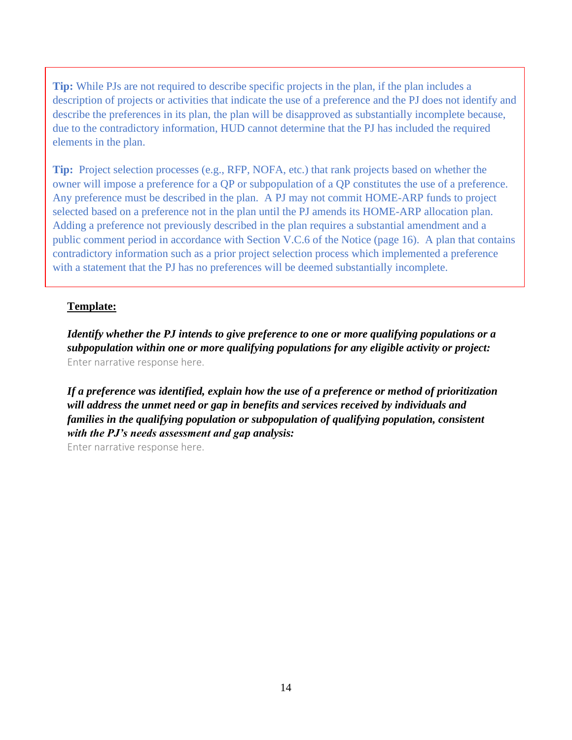**Tip:** While PJs are not required to describe specific projects in the plan, if the plan includes a description of projects or activities that indicate the use of a preference and the PJ does not identify and describe the preferences in its plan, the plan will be disapproved as substantially incomplete because, due to the contradictory information, HUD cannot determine that the PJ has included the required elements in the plan.

**Tip:** Project selection processes (e.g., RFP, NOFA, etc.) that rank projects based on whether the owner will impose a preference for a QP or subpopulation of a QP constitutes the use of a preference. Any preference must be described in the plan. A PJ may not commit HOME-ARP funds to project selected based on a preference not in the plan until the PJ amends its HOME-ARP allocation plan. Adding a preference not previously described in the plan requires a substantial amendment and a public comment period in accordance with Section V.C.6 of the Notice (page 16). A plan that contains contradictory information such as a prior project selection process which implemented a preference with a statement that the PJ has no preferences will be deemed substantially incomplete.

#### **Template:**

*Identify whether the PJ intends to give preference to one or more qualifying populations or a subpopulation within one or more qualifying populations for any eligible activity or project:*  Enter narrative response here.

*If a preference was identified, explain how the use of a preference or method of prioritization will address the unmet need or gap in benefits and services received by individuals and families in the qualifying population or subpopulation of qualifying population, consistent with the PJ's needs assessment and gap analysis:*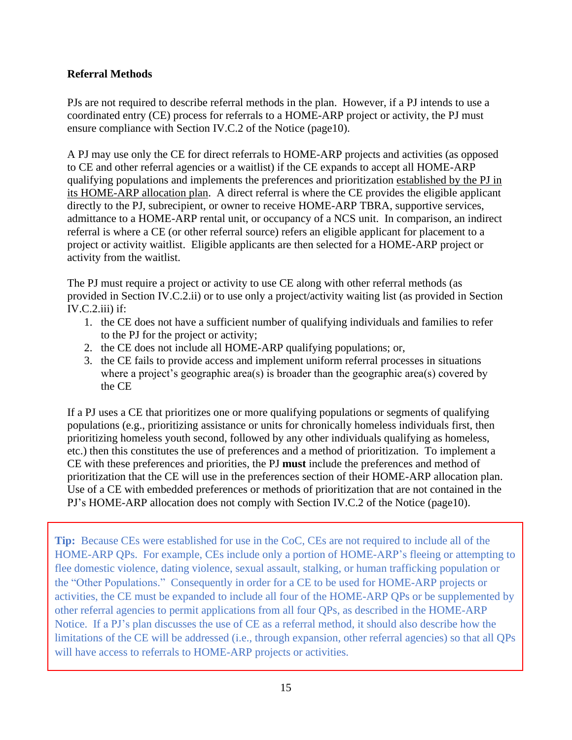## **Referral Methods**

PJs are not required to describe referral methods in the plan. However, if a PJ intends to use a coordinated entry (CE) process for referrals to a HOME-ARP project or activity, the PJ must ensure compliance with Section IV.C.2 of the Notice (page10).

A PJ may use only the CE for direct referrals to HOME-ARP projects and activities (as opposed to CE and other referral agencies or a waitlist) if the CE expands to accept all HOME-ARP qualifying populations and implements the preferences and prioritization established by the PJ in its HOME-ARP allocation plan. A direct referral is where the CE provides the eligible applicant directly to the PJ, subrecipient, or owner to receive HOME-ARP TBRA, supportive services, admittance to a HOME-ARP rental unit, or occupancy of a NCS unit. In comparison, an indirect referral is where a CE (or other referral source) refers an eligible applicant for placement to a project or activity waitlist. Eligible applicants are then selected for a HOME-ARP project or activity from the waitlist.

The PJ must require a project or activity to use CE along with other referral methods (as provided in Section IV.C.2.ii) or to use only a project/activity waiting list (as provided in Section  $IV.C.2.iii)$  if:

- 1. the CE does not have a sufficient number of qualifying individuals and families to refer to the PJ for the project or activity;
- 2. the CE does not include all HOME-ARP qualifying populations; or,
- 3. the CE fails to provide access and implement uniform referral processes in situations where a project's geographic area(s) is broader than the geographic area(s) covered by the CE

If a PJ uses a CE that prioritizes one or more qualifying populations or segments of qualifying populations (e.g., prioritizing assistance or units for chronically homeless individuals first, then prioritizing homeless youth second, followed by any other individuals qualifying as homeless, etc.) then this constitutes the use of preferences and a method of prioritization. To implement a CE with these preferences and priorities, the PJ **must** include the preferences and method of prioritization that the CE will use in the preferences section of their HOME-ARP allocation plan. Use of a CE with embedded preferences or methods of prioritization that are not contained in the PJ's HOME-ARP allocation does not comply with Section IV.C.2 of the Notice (page10).

**Tip:** Because CEs were established for use in the CoC, CEs are not required to include all of the HOME-ARP QPs. For example, CEs include only a portion of HOME-ARP's fleeing or attempting to flee domestic violence, dating violence, sexual assault, stalking, or human trafficking population or the "Other Populations." Consequently in order for a CE to be used for HOME-ARP projects or activities, the CE must be expanded to include all four of the HOME-ARP QPs or be supplemented by other referral agencies to permit applications from all four QPs, as described in the HOME-ARP Notice. If a PJ's plan discusses the use of CE as a referral method, it should also describe how the limitations of the CE will be addressed (i.e., through expansion, other referral agencies) so that all QPs will have access to referrals to HOME-ARP projects or activities.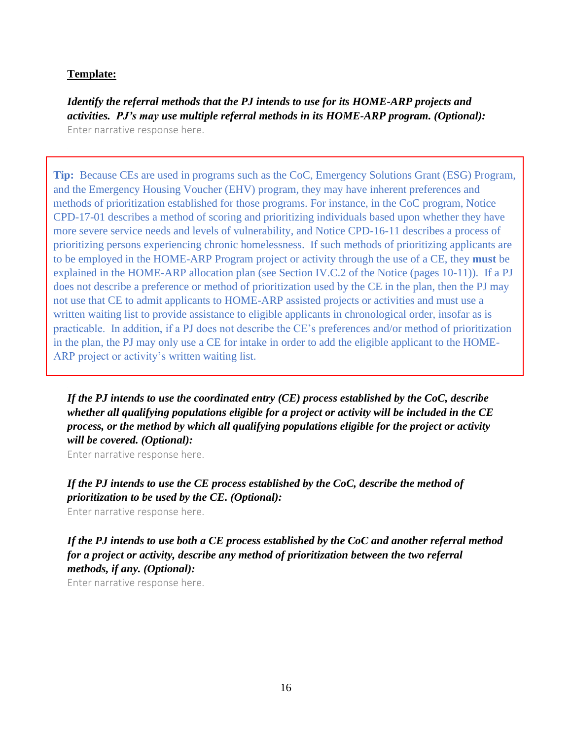*Identify the referral methods that the PJ intends to use for its HOME-ARP projects and activities. PJ's may use multiple referral methods in its HOME-ARP program. (Optional):* Enter narrative response here.

**Tip:** Because CEs are used in programs such as the CoC, Emergency Solutions Grant (ESG) Program, and the Emergency Housing Voucher (EHV) program, they may have inherent preferences and methods of prioritization established for those programs. For instance, in the CoC program, Notice CPD-17-01 describes a method of scoring and prioritizing individuals based upon whether they have more severe service needs and levels of vulnerability, and Notice CPD-16-11 describes a process of prioritizing persons experiencing chronic homelessness. If such methods of prioritizing applicants are to be employed in the HOME-ARP Program project or activity through the use of a CE, they **must** be explained in the HOME-ARP allocation plan (see Section IV.C.2 of the Notice (pages 10-11)). If a PJ does not describe a preference or method of prioritization used by the CE in the plan, then the PJ may not use that CE to admit applicants to HOME-ARP assisted projects or activities and must use a written waiting list to provide assistance to eligible applicants in chronological order, insofar as is practicable. In addition, if a PJ does not describe the CE's preferences and/or method of prioritization in the plan, the PJ may only use a CE for intake in order to add the eligible applicant to the HOME-ARP project or activity's written waiting list.

*If the PJ intends to use the coordinated entry (CE) process established by the CoC, describe whether all qualifying populations eligible for a project or activity will be included in the CE process, or the method by which all qualifying populations eligible for the project or activity will be covered. (Optional):*

Enter narrative response here.

*If the PJ intends to use the CE process established by the CoC, describe the method of prioritization to be used by the CE. (Optional):*

Enter narrative response here.

*If the PJ intends to use both a CE process established by the CoC and another referral method for a project or activity, describe any method of prioritization between the two referral methods, if any. (Optional):*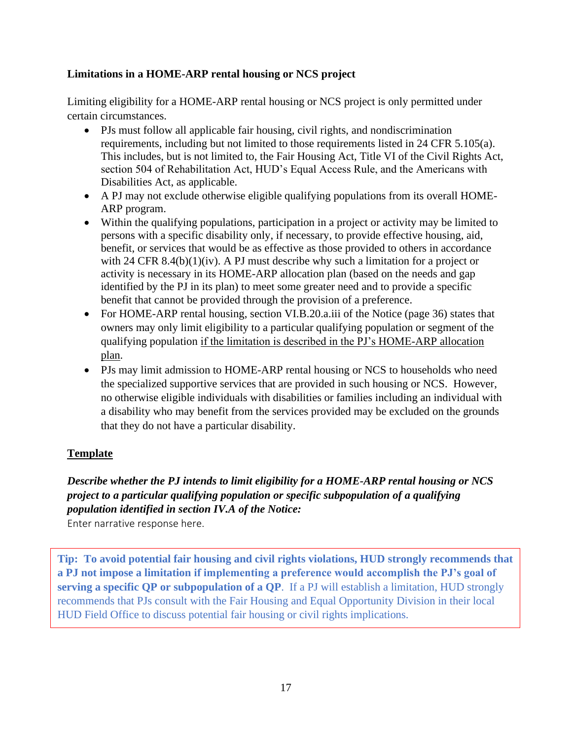### **Limitations in a HOME-ARP rental housing or NCS project**

Limiting eligibility for a HOME-ARP rental housing or NCS project is only permitted under certain circumstances.

- PJs must follow all applicable fair housing, civil rights, and nondiscrimination requirements, including but not limited to those requirements listed in 24 CFR 5.105(a). This includes, but is not limited to, the Fair Housing Act, Title VI of the Civil Rights Act, section 504 of Rehabilitation Act, HUD's Equal Access Rule, and the Americans with Disabilities Act, as applicable.
- A PJ may not exclude otherwise eligible qualifying populations from its overall HOME-ARP program.
- Within the qualifying populations, participation in a project or activity may be limited to persons with a specific disability only, if necessary, to provide effective housing, aid, benefit, or services that would be as effective as those provided to others in accordance with 24 CFR 8.4(b) $(1)(iv)$ . A PJ must describe why such a limitation for a project or activity is necessary in its HOME-ARP allocation plan (based on the needs and gap identified by the PJ in its plan) to meet some greater need and to provide a specific benefit that cannot be provided through the provision of a preference.
- For HOME-ARP rental housing, section VI.B.20.a.iii of the Notice (page 36) states that owners may only limit eligibility to a particular qualifying population or segment of the qualifying population if the limitation is described in the PJ's HOME-ARP allocation plan.
- PJs may limit admission to HOME-ARP rental housing or NCS to households who need the specialized supportive services that are provided in such housing or NCS. However, no otherwise eligible individuals with disabilities or families including an individual with a disability who may benefit from the services provided may be excluded on the grounds that they do not have a particular disability.

## **Template**

# *Describe whether the PJ intends to limit eligibility for a HOME-ARP rental housing or NCS project to a particular qualifying population or specific subpopulation of a qualifying population identified in section IV.A of the Notice:*

Enter narrative response here.

**Tip: To avoid potential fair housing and civil rights violations, HUD strongly recommends that a PJ not impose a limitation if implementing a preference would accomplish the PJ's goal of serving a specific QP or subpopulation of a QP**. If a PJ will establish a limitation, HUD strongly recommends that PJs consult with the Fair Housing and Equal Opportunity Division in their local HUD Field Office to discuss potential fair housing or civil rights implications.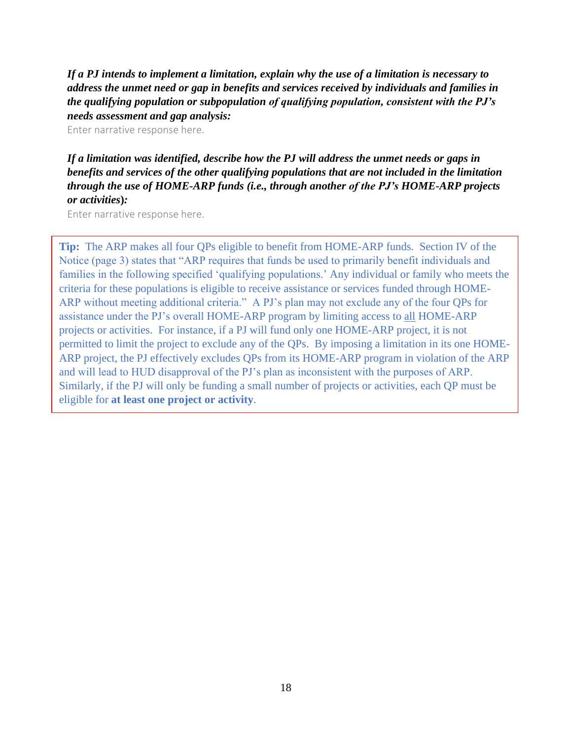*If a PJ intends to implement a limitation, explain why the use of a limitation is necessary to address the unmet need or gap in benefits and services received by individuals and families in the qualifying population or subpopulation of qualifying population, consistent with the PJ's needs assessment and gap analysis:*

Enter narrative response here.

## *If a limitation was identified, describe how the PJ will address the unmet needs or gaps in benefits and services of the other qualifying populations that are not included in the limitation through the use of HOME-ARP funds (i.e., through another of the PJ's HOME-ARP projects or activities***)***:*

Enter narrative response here.

**Tip:** The ARP makes all four QPs eligible to benefit from HOME-ARP funds. Section IV of the Notice (page 3) states that "ARP requires that funds be used to primarily benefit individuals and families in the following specified 'qualifying populations.' Any individual or family who meets the criteria for these populations is eligible to receive assistance or services funded through HOME-ARP without meeting additional criteria." A PJ's plan may not exclude any of the four QPs for assistance under the PJ's overall HOME-ARP program by limiting access to all HOME-ARP projects or activities. For instance, if a PJ will fund only one HOME-ARP project, it is not permitted to limit the project to exclude any of the QPs. By imposing a limitation in its one HOME-ARP project, the PJ effectively excludes QPs from its HOME-ARP program in violation of the ARP and will lead to HUD disapproval of the PJ's plan as inconsistent with the purposes of ARP. Similarly, if the PJ will only be funding a small number of projects or activities, each QP must be eligible for **at least one project or activity**.